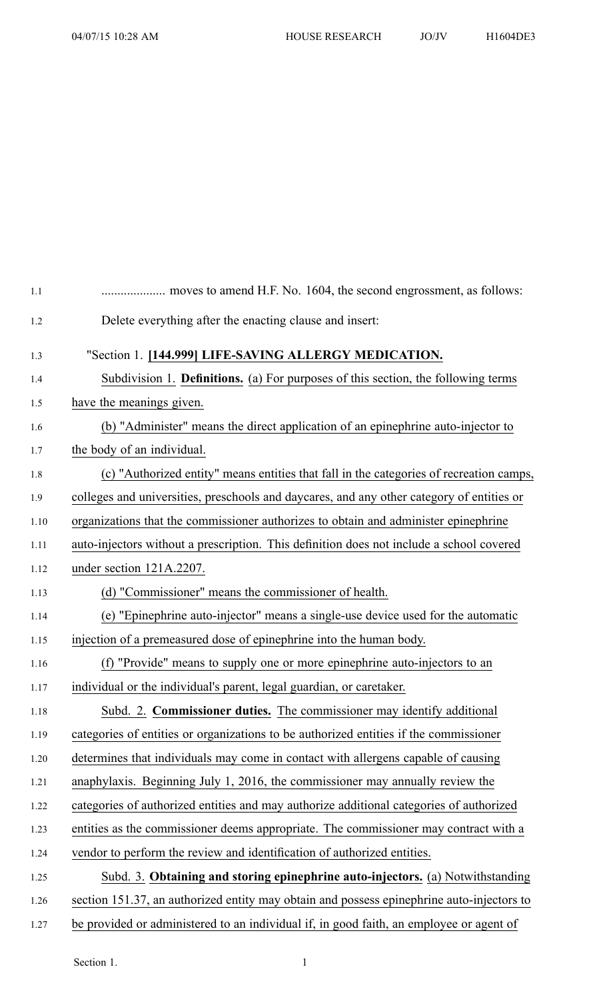| 1.1  |                                                                                           |
|------|-------------------------------------------------------------------------------------------|
| 1.2  | Delete everything after the enacting clause and insert:                                   |
| 1.3  | "Section 1. [144.999] LIFE-SAVING ALLERGY MEDICATION.                                     |
| 1.4  | Subdivision 1. <b>Definitions.</b> (a) For purposes of this section, the following terms  |
| 1.5  | have the meanings given.                                                                  |
| 1.6  | (b) "Administer" means the direct application of an epinephrine auto-injector to          |
| 1.7  | the body of an individual.                                                                |
| 1.8  | (c) "Authorized entity" means entities that fall in the categories of recreation camps,   |
| 1.9  | colleges and universities, preschools and daycares, and any other category of entities or |
| 1.10 | organizations that the commissioner authorizes to obtain and administer epinephrine       |
| 1.11 | auto-injectors without a prescription. This definition does not include a school covered  |
| 1.12 | under section 121A.2207.                                                                  |
| 1.13 | (d) "Commissioner" means the commissioner of health.                                      |
| 1.14 | (e) "Epinephrine auto-injector" means a single-use device used for the automatic          |
| 1.15 | injection of a premeasured dose of epinephrine into the human body.                       |
| 1.16 | (f) "Provide" means to supply one or more epinephrine auto-injectors to an                |
| 1.17 | individual or the individual's parent, legal guardian, or caretaker.                      |
| 1.18 | Subd. 2. Commissioner duties. The commissioner may identify additional                    |
| 1.19 | categories of entities or organizations to be authorized entities if the commissioner     |
| 1.20 | determines that individuals may come in contact with allergens capable of causing         |
| 1.21 | anaphylaxis. Beginning July 1, 2016, the commissioner may annually review the             |
| 1.22 | categories of authorized entities and may authorize additional categories of authorized   |
| 1.23 | entities as the commissioner deems appropriate. The commissioner may contract with a      |
| 1.24 | vendor to perform the review and identification of authorized entities.                   |
| 1.25 | Subd. 3. Obtaining and storing epinephrine auto-injectors. (a) Notwithstanding            |
| 1.26 | section 151.37, an authorized entity may obtain and possess epinephrine auto-injectors to |
| 1.27 | be provided or administered to an individual if, in good faith, an employee or agent of   |

Section 1. 1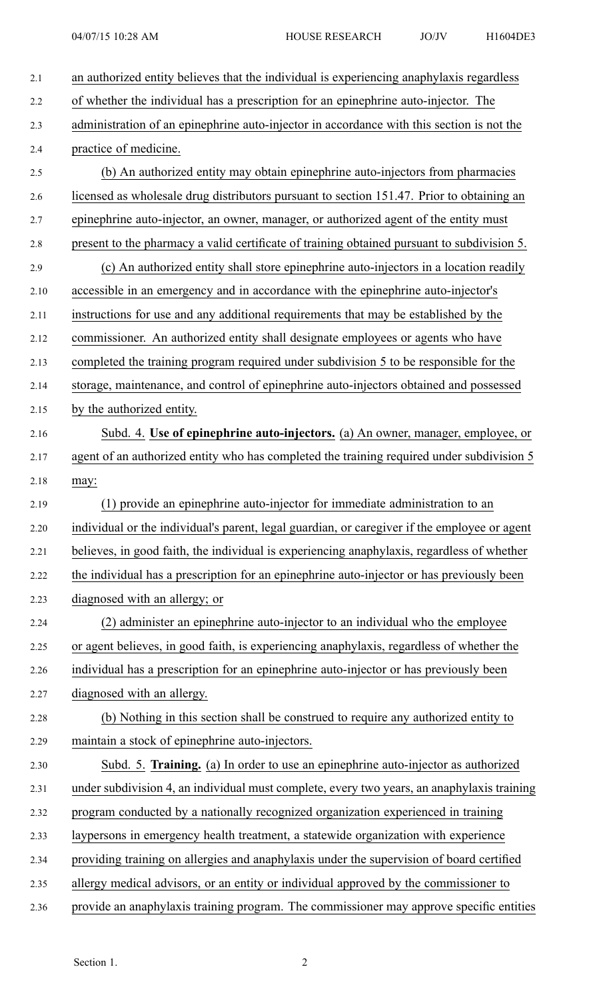| 2.1  | an authorized entity believes that the individual is experiencing anaphylaxis regardless     |
|------|----------------------------------------------------------------------------------------------|
| 2.2  | of whether the individual has a prescription for an epinephrine auto-injector. The           |
| 2.3  | administration of an epinephrine auto-injector in accordance with this section is not the    |
| 2.4  | practice of medicine.                                                                        |
| 2.5  | (b) An authorized entity may obtain epinephrine auto-injectors from pharmacies               |
| 2.6  | licensed as wholesale drug distributors pursuant to section 151.47. Prior to obtaining an    |
| 2.7  | epinephrine auto-injector, an owner, manager, or authorized agent of the entity must         |
| 2.8  | present to the pharmacy a valid certificate of training obtained pursuant to subdivision 5.  |
| 2.9  | (c) An authorized entity shall store epinephrine auto-injectors in a location readily        |
| 2.10 | accessible in an emergency and in accordance with the epinephrine auto-injector's            |
| 2.11 | instructions for use and any additional requirements that may be established by the          |
| 2.12 | commissioner. An authorized entity shall designate employees or agents who have              |
| 2.13 | completed the training program required under subdivision 5 to be responsible for the        |
| 2.14 | storage, maintenance, and control of epinephrine auto-injectors obtained and possessed       |
| 2.15 | by the authorized entity.                                                                    |
| 2.16 | Subd. 4. Use of epinephrine auto-injectors. (a) An owner, manager, employee, or              |
| 2.17 | agent of an authorized entity who has completed the training required under subdivision 5    |
| 2.18 | may:                                                                                         |
| 2.19 | (1) provide an epinephrine auto-injector for immediate administration to an                  |
| 2.20 | individual or the individual's parent, legal guardian, or caregiver if the employee or agent |
| 2.21 | believes, in good faith, the individual is experiencing anaphylaxis, regardless of whether   |
| 2.22 | the individual has a prescription for an epinephrine auto-injector or has previously been    |
| 2.23 | diagnosed with an allergy; or                                                                |
| 2.24 | (2) administer an epinephrine auto-injector to an individual who the employee                |
| 2.25 | or agent believes, in good faith, is experiencing anaphylaxis, regardless of whether the     |
| 2.26 | individual has a prescription for an epinephrine auto-injector or has previously been        |
| 2.27 | diagnosed with an allergy.                                                                   |
| 2.28 | (b) Nothing in this section shall be construed to require any authorized entity to           |
| 2.29 | maintain a stock of epinephrine auto-injectors.                                              |
| 2.30 | Subd. 5. Training. (a) In order to use an epinephrine auto-injector as authorized            |
| 2.31 | under subdivision 4, an individual must complete, every two years, an anaphylaxis training   |
| 2.32 | program conducted by a nationally recognized organization experienced in training            |
| 2.33 | laypersons in emergency health treatment, a statewide organization with experience           |
| 2.34 | providing training on allergies and anaphylaxis under the supervision of board certified     |
| 2.35 | allergy medical advisors, or an entity or individual approved by the commissioner to         |
| 2.36 | provide an anaphylaxis training program. The commissioner may approve specific entities      |
|      |                                                                                              |